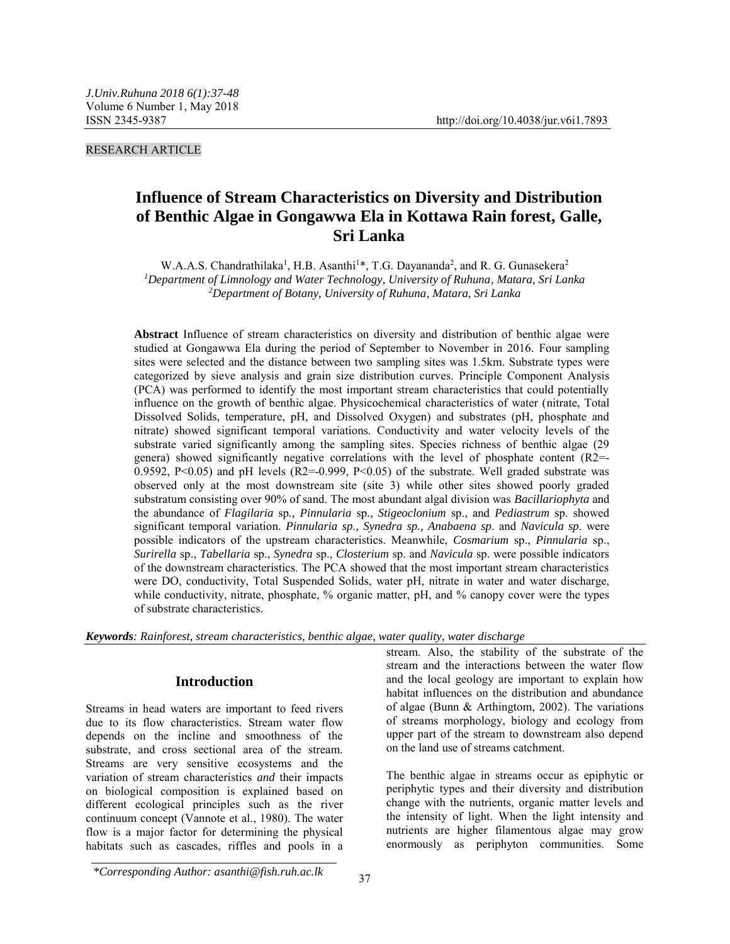RESEARCH ARTICLE

# **Influence of Stream Characteristics on Diversity and Distribution of Benthic Algae in Gongawwa Ela in Kottawa Rain forest, Galle, Sri Lanka**

W.A.A.S. Chandrathilaka<sup>1</sup>, H.B. Asanthi<sup>1\*</sup>, T.G. Dayananda<sup>2</sup>, and R. G. Gunasekera<sup>2</sup> *<sup>1</sup>Department of Limnology and Water Technology, University of Ruhuna, Matara, Sri Lanka <sup>2</sup>Department of Botany, University of Ruhuna, Matara, Sri Lanka*

**Abstract** Influence of stream characteristics on diversity and distribution of benthic algae were studied at Gongawwa Ela during the period of September to November in 2016. Four sampling sites were selected and the distance between two sampling sites was 1.5km. Substrate types were categorized by sieve analysis and grain size distribution curves. Principle Component Analysis (PCA) was performed to identify the most important stream characteristics that could potentially influence on the growth of benthic algae. Physicochemical characteristics of water (nitrate, Total Dissolved Solids, temperature, pH, and Dissolved Oxygen) and substrates (pH, phosphate and nitrate) showed significant temporal variations. Conductivity and water velocity levels of the substrate varied significantly among the sampling sites. Species richness of benthic algae (29 genera) showed significantly negative correlations with the level of phosphate content (R2=- 0.9592, P<0.05) and pH levels  $(R2=0.999, P<0.05)$  of the substrate. Well graded substrate was observed only at the most downstream site (site 3) while other sites showed poorly graded substratum consisting over 90% of sand. The most abundant algal division was *Bacillariophyta* and the abundance of *Flagilaria* sp*., Pinnularia* sp*., Stigeoclonium* sp., and *Pediastrum* sp. showed significant temporal variation. *Pinnularia sp., Synedra sp., Anabaena sp*. and *Navicula sp*. were possible indicators of the upstream characteristics. Meanwhile, *Cosmarium* sp., *Pinnularia* sp., *Surirella* sp., *Tabellaria* sp., *Synedra* sp., *Closterium* sp. and *Navicula* sp. were possible indicators of the downstream characteristics. The PCA showed that the most important stream characteristics were DO, conductivity, Total Suspended Solids, water pH, nitrate in water and water discharge, while conductivity, nitrate, phosphate, % organic matter, pH, and % canopy cover were the types of substrate characteristics.

*Keywords: Rainforest, stream characteristics, benthic algae, water quality, water discharge*

# **Introduction**

Streams in head waters are important to feed rivers due to its flow characteristics. Stream water flow depends on the incline and smoothness of the substrate, and cross sectional area of the stream. Streams are very sensitive ecosystems and the variation of stream characteristics *and* their impacts on biological composition is explained based on different ecological principles such as the river continuum concept (Vannote et al., 1980). The water flow is a major factor for determining the physical habitats such as cascades, riffles and pools in a stream. Also, the stability of the substrate of the stream and the interactions between the water flow and the local geology are important to explain how habitat influences on the distribution and abundance of algae (Bunn & Arthingtom, 2002). The variations of streams morphology, biology and ecology from upper part of the stream to downstream also depend on the land use of streams catchment.

The benthic algae in streams occur as epiphytic or periphytic types and their diversity and distribution change with the nutrients, organic matter levels and the intensity of light. When the light intensity and nutrients are higher filamentous algae may grow enormously as periphyton communities. Some

*\*Corresponding Author: asanthi@fish.ruh.ac.lk*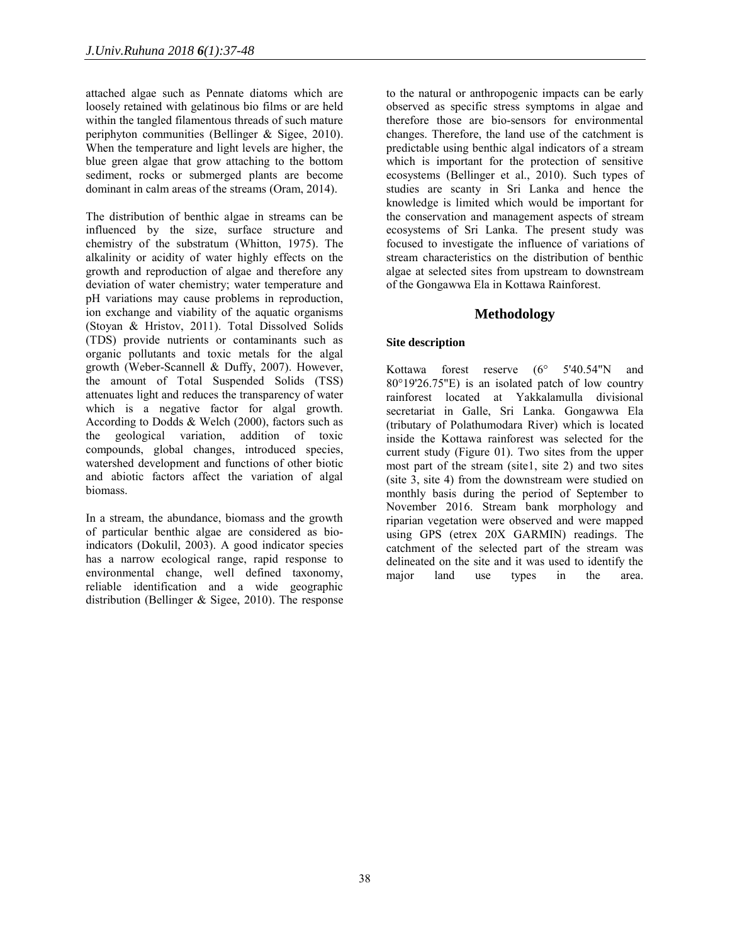attached algae such as Pennate diatoms which are loosely retained with gelatinous bio films or are held within the tangled filamentous threads of such mature periphyton communities (Bellinger & Sigee, 2010). When the temperature and light levels are higher, the blue green algae that grow attaching to the bottom sediment, rocks or submerged plants are become dominant in calm areas of the streams (Oram, 2014).

The distribution of benthic algae in streams can be influenced by the size, surface structure and chemistry of the substratum (Whitton, 1975). The alkalinity or acidity of water highly effects on the growth and reproduction of algae and therefore any deviation of water chemistry; water temperature and pH variations may cause problems in reproduction, ion exchange and viability of the aquatic organisms (Stoyan & Hristov, 2011). Total Dissolved Solids (TDS) provide nutrients or contaminants such as organic pollutants and toxic metals for the algal growth (Weber-Scannell & Duffy, 2007). However, the amount of Total Suspended Solids (TSS) attenuates light and reduces the transparency of water which is a negative factor for algal growth. According to Dodds & Welch (2000), factors such as the geological variation, addition of toxic compounds, global changes, introduced species, watershed development and functions of other biotic and abiotic factors affect the variation of algal biomass.

In a stream, the abundance, biomass and the growth of particular benthic algae are considered as bioindicators (Dokulil, 2003). A good indicator species has a narrow ecological range, rapid response to environmental change, well defined taxonomy, reliable identification and a wide geographic distribution (Bellinger & Sigee, 2010). The response

to the natural or anthropogenic impacts can be early observed as specific stress symptoms in algae and therefore those are bio-sensors for environmental changes. Therefore, the land use of the catchment is predictable using benthic algal indicators of a stream which is important for the protection of sensitive ecosystems (Bellinger et al., 2010). Such types of studies are scanty in Sri Lanka and hence the knowledge is limited which would be important for the conservation and management aspects of stream ecosystems of Sri Lanka. The present study was focused to investigate the influence of variations of stream characteristics on the distribution of benthic algae at selected sites from upstream to downstream of the Gongawwa Ela in Kottawa Rainforest.

# **Methodology**

# **Site description**

Kottawa forest reserve (6° 5'40.54"N and 80°19'26.75"E) is an isolated patch of low country rainforest located at Yakkalamulla divisional secretariat in Galle, Sri Lanka. Gongawwa Ela (tributary of Polathumodara River) which is located inside the Kottawa rainforest was selected for the current study (Figure 01). Two sites from the upper most part of the stream (site1, site 2) and two sites (site 3, site 4) from the downstream were studied on monthly basis during the period of September to November 2016. Stream bank morphology and riparian vegetation were observed and were mapped using GPS (etrex 20X GARMIN) readings. The catchment of the selected part of the stream was delineated on the site and it was used to identify the major land use types in the area.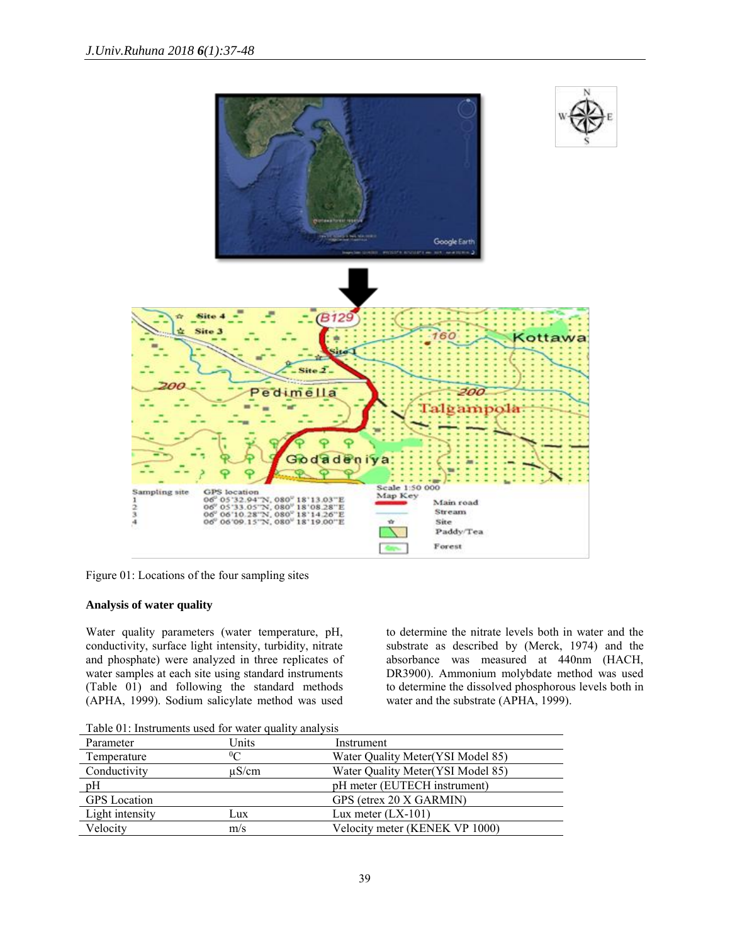

Figure 01: Locations of the four sampling sites

# **Analysis of water quality**

Water quality parameters (water temperature, pH, conductivity, surface light intensity, turbidity, nitrate and phosphate) were analyzed in three replicates of water samples at each site using standard instruments (Table 01) and following the standard methods (APHA, 1999). Sodium salicylate method was used to determine the nitrate levels both in water and the substrate as described by (Merck, 1974) and the absorbance was measured at 440nm (HACH, DR3900). Ammonium molybdate method was used to determine the dissolved phosphorous levels both in water and the substrate (APHA, 1999).

Table 01: Instruments used for water quality analysis

| Parameter           | Units                       | Instrument                        |
|---------------------|-----------------------------|-----------------------------------|
| Temperature         | $0\textcolor{red}{\bigcap}$ | Water Quality Meter(YSI Model 85) |
| Conductivity        | $\mu$ S/cm                  | Water Quality Meter(YSI Model 85) |
| pH                  |                             | pH meter (EUTECH instrument)      |
| <b>GPS</b> Location |                             | GPS (etrex 20 X GARMIN)           |
| Light intensity     | Lux                         | Lux meter $(LX-101)$              |
| Velocity            | m/s                         | Velocity meter (KENEK VP 1000)    |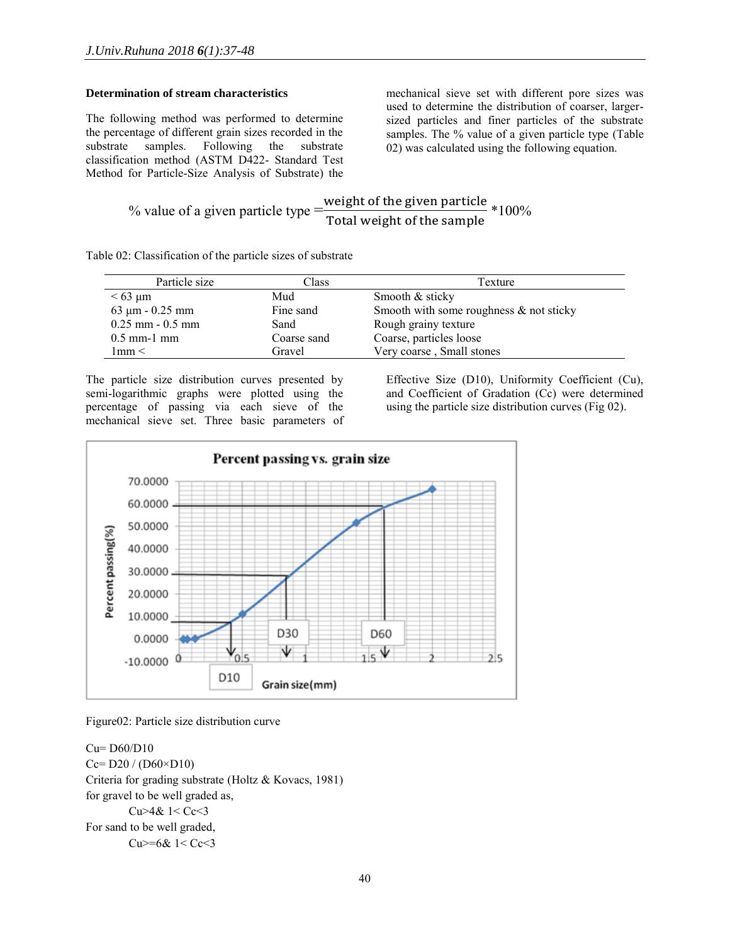# **Determination of stream characteristics**

The following method was performed to determine the percentage of different grain sizes recorded in the substrate samples. Following the substrate classification method (ASTM D422- Standard Test Method for Particle-Size Analysis of Substrate) the

mechanical sieve set with different pore sizes was used to determine the distribution of coarser, largersized particles and finer particles of the substrate samples. The % value of a given particle type (Table 02) was calculated using the following equation.

% value of a given particle type 
$$
= \frac{\text{weight of the given particle}}{\text{Total weight of the sample}} * 100\%
$$

Table 02: Classification of the particle sizes of substrate

| Particle size                | Class       | Texture                                    |
|------------------------------|-------------|--------------------------------------------|
| $< 63 \mu m$                 | Mud         | Smooth & sticky                            |
| $63 \mu m - 0.25 \text{ mm}$ | Fine sand   | Smooth with some roughness $\&$ not sticky |
| $0.25$ mm $-0.5$ mm          | Sand        | Rough grainy texture                       |
| $0.5$ mm-1 mm                | Coarse sand | Coarse, particles loose                    |
| 1mm<                         | Gravel      | Very coarse, Small stones                  |

The particle size distribution curves presented by semi-logarithmic graphs were plotted using the percentage of passing via each sieve of the mechanical sieve set. Three basic parameters of Effective Size (D10), Uniformity Coefficient (Cu), and Coefficient of Gradation (Cc) were determined using the particle size distribution curves (Fig 02).



Figure02: Particle size distribution curve

Cu= D60/D10  $Ce = D20 / (D60 \times D10)$ Criteria for grading substrate (Holtz & Kovacs, 1981) for gravel to be well graded as, Cu>4& 1< Cc<3 For sand to be well graded, Cu>=6& 1< Cc<3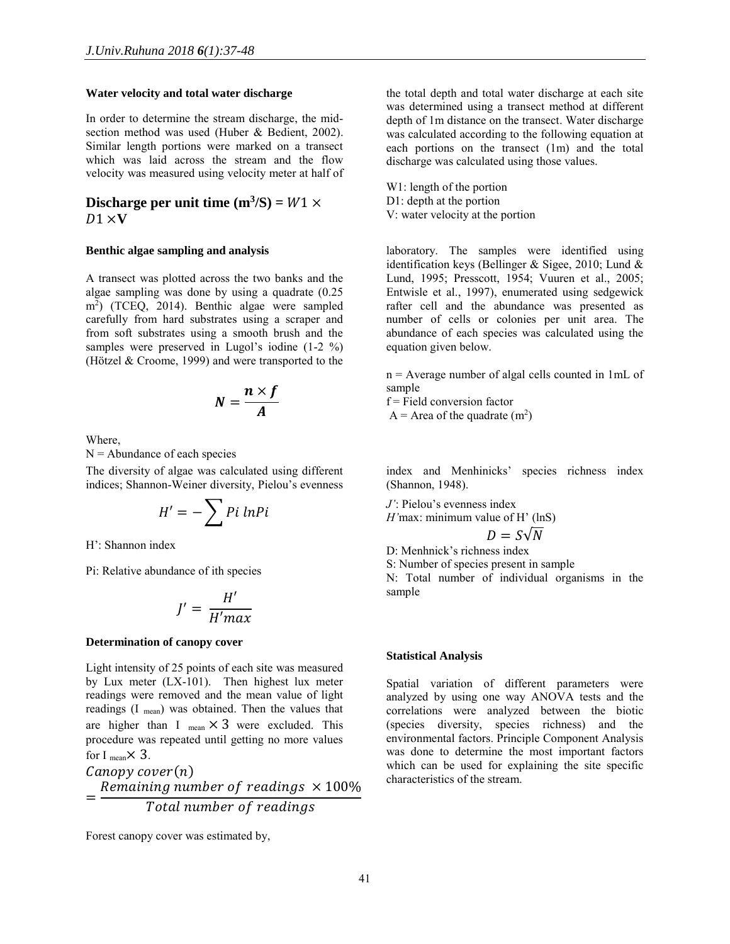# **Water velocity and total water discharge**

In order to determine the stream discharge, the midsection method was used (Huber & Bedient, 2002). Similar length portions were marked on a transect which was laid across the stream and the flow velocity was measured using velocity meter at half of

# **Discharge per unit time**  $(m^3/S) = W1 \times$  $D1 \times V$

#### **Benthic algae sampling and analysis**

A transect was plotted across the two banks and the algae sampling was done by using a quadrate (0.25 m<sup>2</sup> ) (TCEQ, 2014). Benthic algae were sampled carefully from hard substrates using a scraper and from soft substrates using a smooth brush and the samples were preserved in Lugol's iodine (1-2 %) (Hötzel & Croome, 1999) and were transported to the

$$
N=\frac{n\times f}{A}
$$

Where,

 $N =$  Abundance of each species

The diversity of algae was calculated using different indices; Shannon-Weiner diversity, Pielou's evenness

$$
H'=-\sum P i \ ln P i
$$

H': Shannon index

Pi: Relative abundance of ith species

$$
J' = \frac{H'}{H'max}
$$

#### **Determination of canopy cover**

Light intensity of 25 points of each site was measured by Lux meter (LX-101). Then highest lux meter readings were removed and the mean value of light readings (I mean) was obtained. Then the values that are higher than I  $_{\text{mean}} \times 3$  were excluded. This procedure was repeated until getting no more values for I  $_{\text{mean}} \times 3$ .  $Canopy cover(n)$ = Remaining number of readings  $\times$  100% Total number of readings

Forest canopy cover was estimated by,

the total depth and total water discharge at each site was determined using a transect method at different depth of 1m distance on the transect. Water discharge was calculated according to the following equation at each portions on the transect (1m) and the total discharge was calculated using those values.

W1: length of the portion D1: depth at the portion V: water velocity at the portion

laboratory. The samples were identified using identification keys (Bellinger  $&$  Sigee, 2010; Lund  $&$ Lund, 1995; Presscott, 1954; Vuuren et al., 2005; Entwisle et al., 1997), enumerated using sedgewick rafter cell and the abundance was presented as number of cells or colonies per unit area. The abundance of each species was calculated using the equation given below.

n = Average number of algal cells counted in 1mL of sample

 $f =$ Field conversion factor

 $A =$  Area of the quadrate  $(m<sup>2</sup>)$ 

index and Menhinicks' species richness index (Shannon, 1948).

*J'*: Pielou's evenness index

$$
H
$$
'max: minimum value of  $H$ ' (lnS)

$$
D=S\sqrt{N}
$$

D: Menhnick's richness index

S: Number of species present in sample

N: Total number of individual organisms in the sample

#### **Statistical Analysis**

Spatial variation of different parameters were analyzed by using one way ANOVA tests and the correlations were analyzed between the biotic (species diversity, species richness) and the environmental factors. Principle Component Analysis was done to determine the most important factors which can be used for explaining the site specific characteristics of the stream.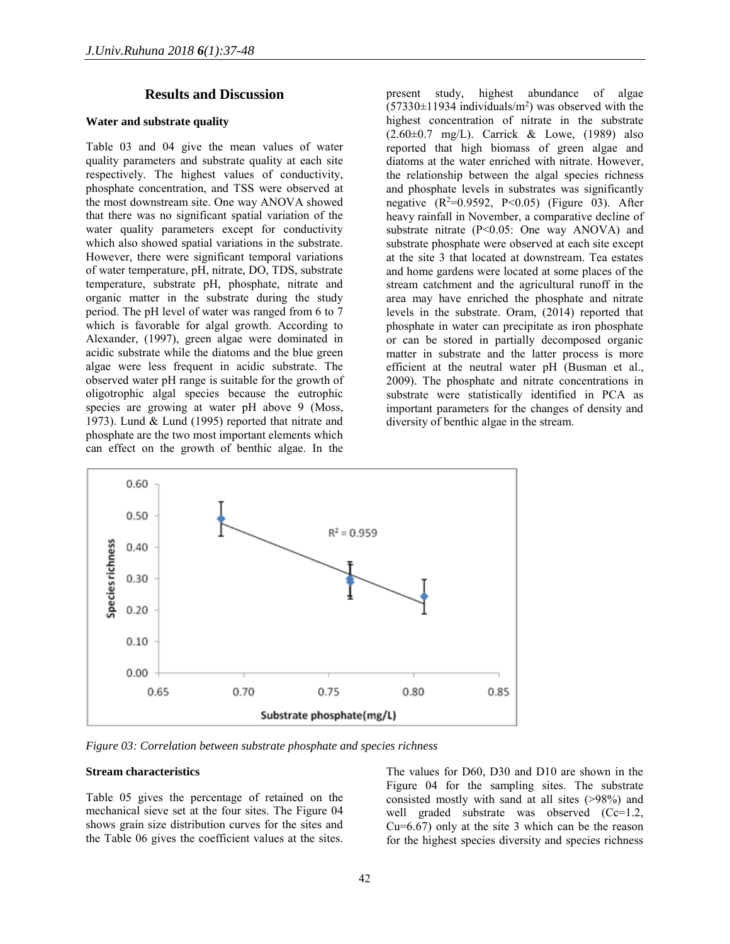# **Results and Discussion**

### **Water and substrate quality**

Table 03 and 04 give the mean values of water quality parameters and substrate quality at each site respectively. The highest values of conductivity, phosphate concentration, and TSS were observed at the most downstream site. One way ANOVA showed that there was no significant spatial variation of the water quality parameters except for conductivity which also showed spatial variations in the substrate. However, there were significant temporal variations of water temperature, pH, nitrate, DO, TDS, substrate temperature, substrate pH, phosphate, nitrate and organic matter in the substrate during the study period. The pH level of water was ranged from 6 to 7 which is favorable for algal growth. According to Alexander, (1997), green algae were dominated in acidic substrate while the diatoms and the blue green algae were less frequent in acidic substrate. The observed water pH range is suitable for the growth of oligotrophic algal species because the eutrophic species are growing at water pH above 9 (Moss, 1973). Lund & Lund (1995) reported that nitrate and phosphate are the two most important elements which can effect on the growth of benthic algae. In the

present study, highest abundance of algae  $(57330\pm11934 \text{ individuals/m}^2)$  was observed with the highest concentration of nitrate in the substrate (2.60±0.7 mg/L). Carrick & Lowe, (1989) also reported that high biomass of green algae and diatoms at the water enriched with nitrate. However, the relationship between the algal species richness and phosphate levels in substrates was significantly negative  $(R^2=0.9592, P<0.05)$  (Figure 03). After heavy rainfall in November, a comparative decline of substrate nitrate  $(P<0.05$ : One way ANOVA) and substrate phosphate were observed at each site except at the site 3 that located at downstream. Tea estates and home gardens were located at some places of the stream catchment and the agricultural runoff in the area may have enriched the phosphate and nitrate levels in the substrate. Oram, (2014) reported that phosphate in water can precipitate as iron phosphate or can be stored in partially decomposed organic matter in substrate and the latter process is more efficient at the neutral water pH (Busman et al., 2009). The phosphate and nitrate concentrations in substrate were statistically identified in PCA as important parameters for the changes of density and diversity of benthic algae in the stream.



*Figure 03: Correlation between substrate phosphate and species richness*

#### **Stream characteristics**

Table 05 gives the percentage of retained on the mechanical sieve set at the four sites. The Figure 04 shows grain size distribution curves for the sites and the Table 06 gives the coefficient values at the sites. The values for D60, D30 and D10 are shown in the Figure 04 for the sampling sites. The substrate consisted mostly with sand at all sites (>98%) and well graded substrate was observed (Cc=1.2, Cu=6.67) only at the site 3 which can be the reason for the highest species diversity and species richness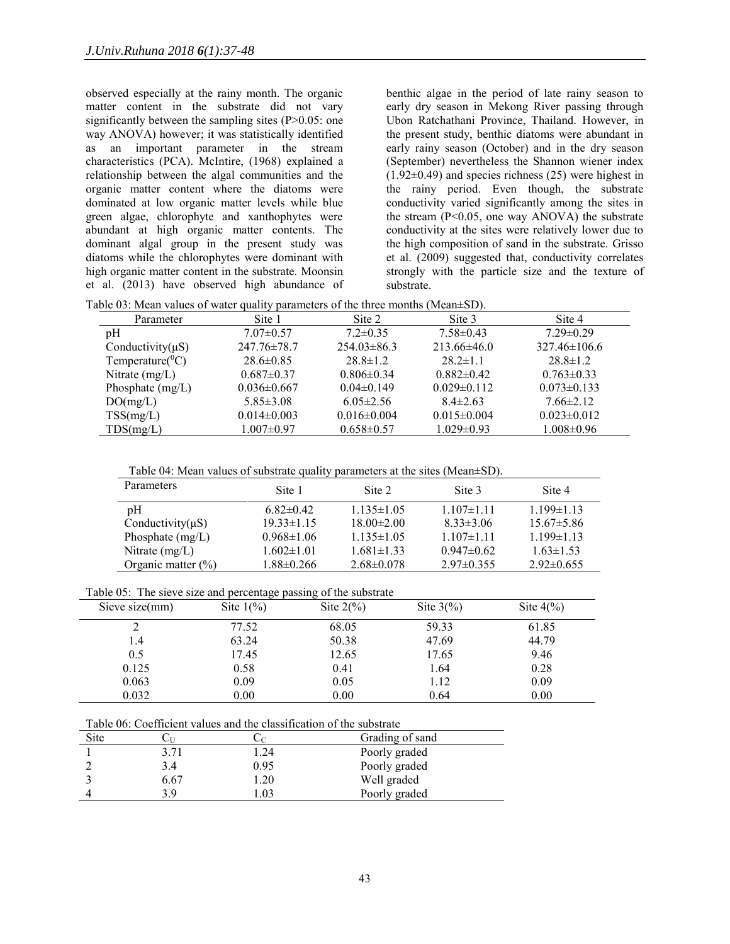observed especially at the rainy month. The organic matter content in the substrate did not vary significantly between the sampling sites (P>0.05: one way ANOVA) however; it was statistically identified as an important parameter in the stream characteristics (PCA). McIntire, (1968) explained a relationship between the algal communities and the organic matter content where the diatoms were dominated at low organic matter levels while blue green algae, chlorophyte and xanthophytes were abundant at high organic matter contents. The dominant algal group in the present study was diatoms while the chlorophytes were dominant with high organic matter content in the substrate. Moonsin et al. (2013) have observed high abundance of

benthic algae in the period of late rainy season to early dry season in Mekong River passing through Ubon Ratchathani Province, Thailand. However, in the present study, benthic diatoms were abundant in early rainy season (October) and in the dry season (September) nevertheless the Shannon wiener index  $(1.92\pm0.49)$  and species richness  $(25)$  were highest in the rainy period. Even though, the substrate conductivity varied significantly among the sites in the stream  $(P<0.05$ , one way ANOVA) the substrate conductivity at the sites were relatively lower due to the high composition of sand in the substrate. Grisso et al. (2009) suggested that, conductivity correlates strongly with the particle size and the texture of substrate.

| Parameter              | Site 1            | Site 2            | Site 3            | Site 4             |
|------------------------|-------------------|-------------------|-------------------|--------------------|
| pH                     | $7.07 \pm 0.57$   | $7.2 \pm 0.35$    | $7.58 \pm 0.43$   | $7.29 \pm 0.29$    |
| Conductivity $(\mu S)$ | $247.76 \pm 78.7$ | $254.03 \pm 86.3$ | $213.66\pm46.0$   | $327.46 \pm 106.6$ |
| Temperature( ${}^0C$ ) | $28.6 \pm 0.85$   | $28.8 \pm 1.2$    | $28.2 \pm 1.1$    | $28.8 \pm 1.2$     |
| Nitrate $(mg/L)$       | $0.687 \pm 0.37$  | $0.806 \pm 0.34$  | $0.882\pm0.42$    | $0.763 \pm 0.33$   |
| Phosphate $(mg/L)$     | $0.036 \pm 0.667$ | $0.04\pm0.149$    | $0.029 \pm 0.112$ | $0.073 \pm 0.133$  |
| DO(mg/L)               | $5.85 \pm 3.08$   | $6.05 \pm 2.56$   | $8.4 \pm 2.63$    | $7.66 \pm 2.12$    |
| TSS(mg/L)              | $0.014 \pm 0.003$ | $0.016 \pm 0.004$ | $0.015 \pm 0.004$ | $0.023 \pm 0.012$  |
| TDS(mg/L)              | $1.007 \pm 0.97$  | $0.658 \pm 0.57$  | $1.029 \pm 0.93$  | $1.008 \pm 0.96$   |

Table 04: Mean values of substrate quality parameters at the sites (Mean±SD).

| Parameters             | Site 1           | Site 2           | Site 3          | Site 4           |
|------------------------|------------------|------------------|-----------------|------------------|
| pH                     | $6.82\pm0.42$    | $1.135 \pm 1.05$ | $1.107\pm1.11$  | $1.199 \pm 1.13$ |
| Conductivity $(\mu S)$ | $19.33 \pm 1.15$ | $18.00 \pm 2.00$ | $8.33 \pm 3.06$ | $15.67\pm5.86$   |
| Phosphate $(mg/L)$     | $0.968 \pm 1.06$ | $1.135 \pm 1.05$ | $1.107\pm1.11$  | $1.199 \pm 1.13$ |
| Nitrate $(mg/L)$       | $1.602 \pm 1.01$ | $1.681 \pm 1.33$ | $0.947\pm0.62$  | $1.63 \pm 1.53$  |
| Organic matter $(\% )$ | $1.88 \pm 0.266$ | $2.68 \pm 0.078$ | $2.97\pm 0.355$ | $2.92\pm 0.655$  |

Table 05: The sieve size and percentage passing of the substrate

| Sieve size $(mm)$ | Site $1\frac{6}{6}$ | Site $2\frac{6}{6}$ | Site $3\frac{6}{6}$ | Site $4\frac{6}{6}$ |  |
|-------------------|---------------------|---------------------|---------------------|---------------------|--|
|                   | 77.52               | 68.05               | 59.33               | 61.85               |  |
| 1.4               | 63.24               | 50.38               | 47.69               | 44.79               |  |
| 0.5               | 17.45               | 12.65               | 17.65               | 9.46                |  |
| 0.125             | 0.58                | 0.41                | 1.64                | 0.28                |  |
| 0.063             | 0.09                | 0.05                | 1.12                | 0.09                |  |
| 0.032             | 0.00                | 0.00                | 0.64                | 0.00                |  |

| Table 06: Coefficient values and the classification of the substrate |  |
|----------------------------------------------------------------------|--|
|----------------------------------------------------------------------|--|

| Site |      |      | Grading of sand |
|------|------|------|-----------------|
|      | 3.71 | .24  | Poorly graded   |
|      | 3.4  | 0.95 | Poorly graded   |
|      | 6.67 | .20  | Well graded     |
|      | 3 Q  |      | Poorly graded   |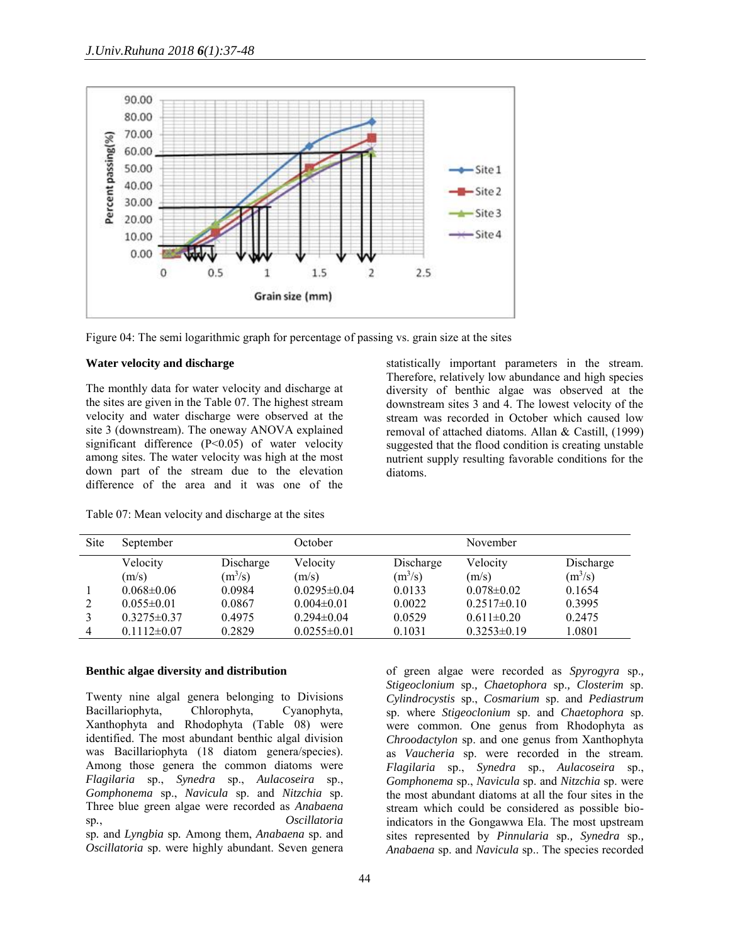

Figure 04: The semi logarithmic graph for percentage of passing vs. grain size at the sites

# **Water velocity and discharge**

The monthly data for water velocity and discharge at the sites are given in the Table 07. The highest stream velocity and water discharge were observed at the site 3 (downstream). The oneway ANOVA explained significant difference (P<0.05) of water velocity among sites. The water velocity was high at the most down part of the stream due to the elevation difference of the area and it was one of the

statistically important parameters in the stream. Therefore, relatively low abundance and high species diversity of benthic algae was observed at the downstream sites 3 and 4. The lowest velocity of the stream was recorded in October which caused low removal of attached diatoms. Allan & Castill, (1999) suggested that the flood condition is creating unstable nutrient supply resulting favorable conditions for the diatoms.

| <b>Site</b> | September        |           | October           |           | November         |           |  |
|-------------|------------------|-----------|-------------------|-----------|------------------|-----------|--|
|             | Velocity         | Discharge | Velocity          | Discharge | Velocity         | Discharge |  |
|             | (m/s)            | $(m^3/s)$ | (m/s)             | $(m^3/s)$ | (m/s)            | $(m^3/s)$ |  |
|             | $0.068 \pm 0.06$ | 0.0984    | $0.0295\pm0.04$   | 0.0133    | $0.078 \pm 0.02$ | 0.1654    |  |
|             | $0.055 \pm 0.01$ | 0.0867    | $0.004 \pm 0.01$  | 0.0022    | $0.2517\pm0.10$  | 0.3995    |  |
|             | $0.3275\pm0.37$  | 0.4975    | $0.294 \pm 0.04$  | 0.0529    | $0.611 \pm 0.20$ | 0.2475    |  |
| 4           | $0.1112\pm0.07$  | 0.2829    | $0.0255 \pm 0.01$ | 0.1031    | $0.3253\pm0.19$  | 1.0801    |  |

Table 07: Mean velocity and discharge at the sites

### **Benthic algae diversity and distribution**

Twenty nine algal genera belonging to Divisions<br>Bacillariophyta, Chlorophyta, Cyanophyta, Bacillariophyta, Chlorophyta, Cyanophyta, Xanthophyta and Rhodophyta (Table 08) were identified. The most abundant benthic algal division was Bacillariophyta (18 diatom genera/species). Among those genera the common diatoms were *Flagilaria* sp., *Synedra* sp., *Aulacoseira* sp., *Gomphonema* sp., *Navicula* sp. and *Nitzchia* sp. Three blue green algae were recorded as *Anabaena* sp*.*, *Oscillatoria*  sp*.* and *Lyngbia* sp*.* Among them, *Anabaena* sp. and *Oscillatoria* sp. were highly abundant. Seven genera

*Cylindrocystis* sp., *Cosmarium* sp. and *Pediastrum* sp. where *Stigeoclonium* sp. and *Chaetophora* sp. were common. One genus from Rhodophyta as *Chroodactylon* sp. and one genus from Xanthophyta as *Vaucheria* sp. were recorded in the stream. *Flagilaria* sp., *Synedra* sp., *Aulacoseira* sp., *Gomphonema* sp., *Navicula* sp. and *Nitzchia* sp. were the most abundant diatoms at all the four sites in the stream which could be considered as possible bioindicators in the Gongawwa Ela. The most upstream sites represented by *Pinnularia* sp.*, Synedra* sp.*, Anabaena* sp. and *Navicula* sp.. The species recorded

of green algae were recorded as *Spyrogyra* sp.*, Stigeoclonium* sp.*, Chaetophora* sp.*, Closterim* sp.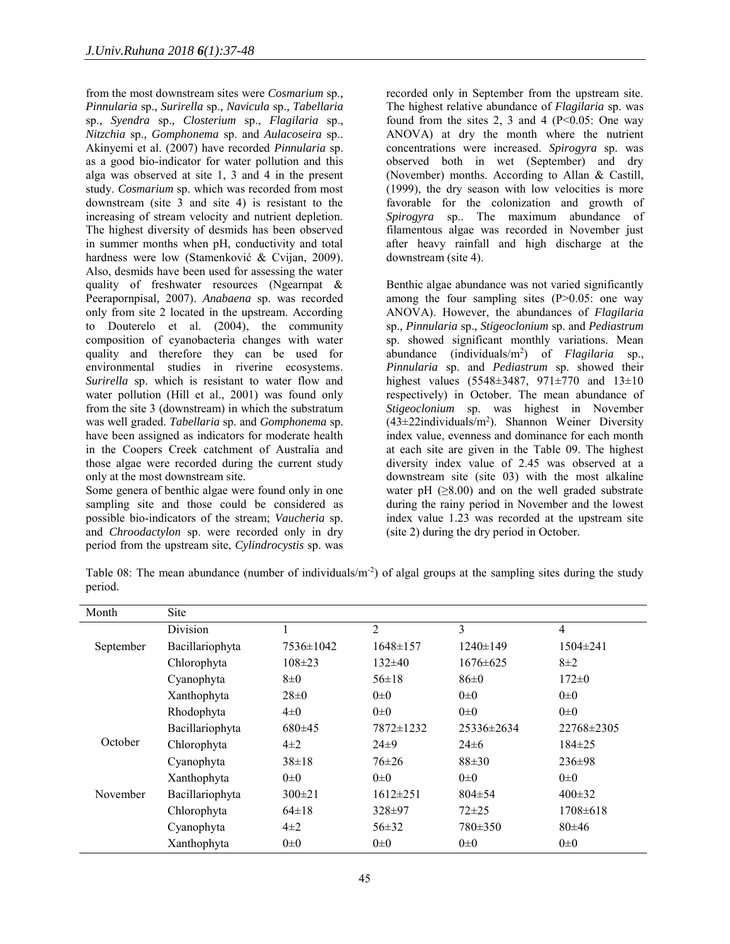from the most downstream sites were *Cosmarium* sp.*, Pinnularia* sp.*, Surirella* sp.*, Navicula* sp.*, Tabellaria* sp.*, Syendra* sp.*, Closterium* sp., *Flagilaria* sp.*, Nitzchia* sp.*, Gomphonema* sp. and *Aulacoseira* sp.. Akinyemi et al. (2007) have recorded *Pinnularia* sp. as a good bio-indicator for water pollution and this alga was observed at site 1, 3 and 4 in the present study. *Cosmarium* sp. which was recorded from most downstream (site 3 and site 4) is resistant to the increasing of stream velocity and nutrient depletion. The highest diversity of desmids has been observed in summer months when pH, conductivity and total hardness were low (Stamenković & Cvijan, 2009). Also, desmids have been used for assessing the water quality of freshwater resources (Ngearnpat & Peerapornpisal, 2007). *Anabaena* sp. was recorded only from site 2 located in the upstream. According to Douterelo et al. (2004), the community composition of cyanobacteria changes with water quality and therefore they can be used for environmental studies in riverine ecosystems. *Surirella* sp. which is resistant to water flow and water pollution (Hill et al., 2001) was found only from the site 3 (downstream) in which the substratum was well graded. *Tabellaria* sp. and *Gomphonema* sp. have been assigned as indicators for moderate health in the Coopers Creek catchment of Australia and those algae were recorded during the current study only at the most downstream site.

Some genera of benthic algae were found only in one sampling site and those could be considered as possible bio-indicators of the stream; *Vaucheria* sp. and *Chroodactylon* sp. were recorded only in dry period from the upstream site, *Cylindrocystis* sp. was recorded only in September from the upstream site. The highest relative abundance of *Flagilaria* sp. was found from the sites 2, 3 and 4 ( $P \le 0.05$ : One way ANOVA) at dry the month where the nutrient concentrations were increased. *Spirogyra* sp. was observed both in wet (September) and dry (November) months. According to Allan & Castill, (1999), the dry season with low velocities is more favorable for the colonization and growth of *Spirogyra* sp.. The maximum abundance of filamentous algae was recorded in November just after heavy rainfall and high discharge at the downstream (site 4).

Benthic algae abundance was not varied significantly among the four sampling sites  $(P>0.05$ : one way ANOVA). However, the abundances of *Flagilaria* sp.*, Pinnularia* sp.*, Stigeoclonium* sp. and *Pediastrum* sp. showed significant monthly variations. Mean abundance (individuals/m<sup>2</sup> ) of *Flagilaria* sp., *Pinnularia* sp. and *Pediastrum* sp. showed their highest values (5548±3487, 971±770 and 13±10 respectively) in October. The mean abundance of *Stigeoclonium* sp. was highest in November (43±22individuals/m<sup>2</sup> ). Shannon Weiner Diversity index value, evenness and dominance for each month at each site are given in the Table 09. The highest diversity index value of 2.45 was observed at a downstream site (site 03) with the most alkaline water pH  $(\geq 8.00)$  and on the well graded substrate during the rainy period in November and the lowest index value 1.23 was recorded at the upstream site (site 2) during the dry period in October.

|         |  |  | Table 08: The mean abundance (number of individuals/m <sup>-2</sup> ) of algal groups at the sampling sites during the study |  |  |  |  |
|---------|--|--|------------------------------------------------------------------------------------------------------------------------------|--|--|--|--|
| period. |  |  |                                                                                                                              |  |  |  |  |

| Month     | Site            |              |                |                |                |
|-----------|-----------------|--------------|----------------|----------------|----------------|
|           | Division        |              | $\overline{2}$ | 3              | 4              |
| September | Bacillariophyta | 7536±1042    | $1648 \pm 157$ | $1240 \pm 149$ | $1504 \pm 241$ |
|           | Chlorophyta     | $108 \pm 23$ | $132\pm 40$    | $1676 \pm 625$ | $8\pm2$        |
|           | Cyanophyta      | $8\pm 0$     | $56\pm18$      | 86±0           | $172 \pm 0$    |
|           | Xanthophyta     | $28 \pm 0$   | $0\pm 0$       | $0\pm 0$       | $0\pm 0$       |
|           | Rhodophyta      | $4\pm 0$     | $0\pm 0$       | $0\pm 0$       | $0\pm 0$       |
|           | Bacillariophyta | $680+45$     | 7872±1232      | 25336±2634     | 22768±2305     |
| October   | Chlorophyta     | $4\pm 2$     | $24\pm9$       | $24\pm 6$      | $184 \pm 25$   |
|           | Cyanophyta      | $38 \pm 18$  | $76 \pm 26$    | $88\pm30$      | $236 \pm 98$   |
|           | Xanthophyta     | $0\pm 0$     | $0\pm 0$       | $0\pm 0$       | $0\pm 0$       |
| November  | Bacillariophyta | $300 \pm 21$ | $1612 \pm 251$ | $804 \pm 54$   | $400\pm32$     |
|           | Chlorophyta     | $64 \pm 18$  | $328 \pm 97$   | $72 + 25$      | $1708 \pm 618$ |
|           | Cyanophyta      | $4\pm 2$     | 56±32          | 780±350        | $80\pm46$      |
|           | Xanthophyta     | $0\pm 0$     | $0\pm 0$       | $0\pm 0$       | $0\pm 0$       |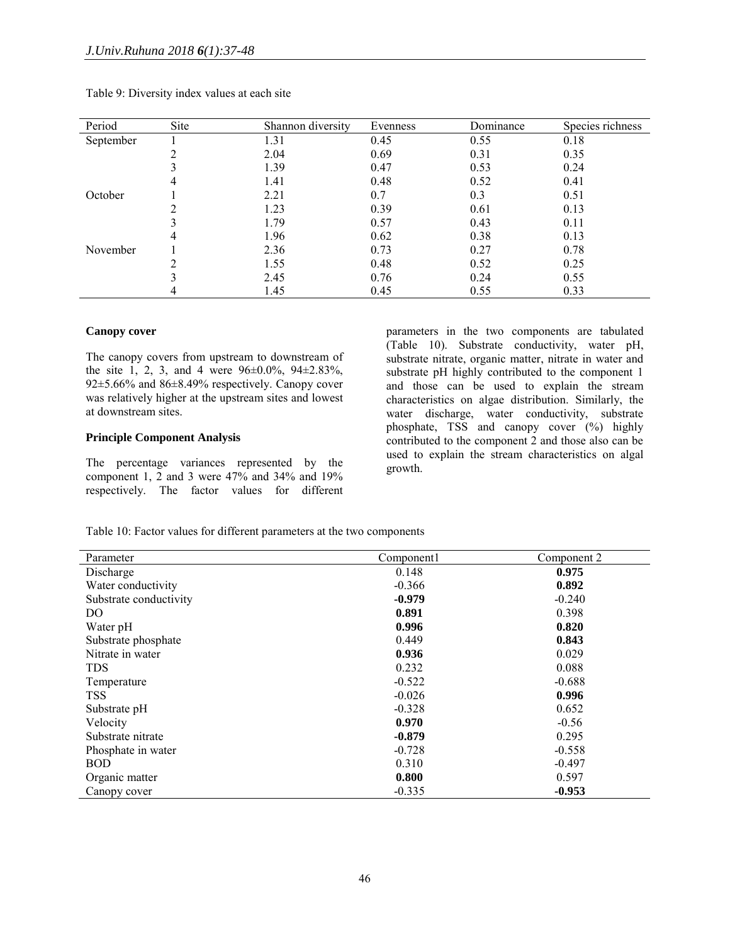| Period    | Site | Shannon diversity | Evenness | Dominance | Species richness |
|-----------|------|-------------------|----------|-----------|------------------|
| September |      | 1.31              | 0.45     | 0.55      | 0.18             |
|           | ↑    | 2.04              | 0.69     | 0.31      | 0.35             |
|           |      | 1.39              | 0.47     | 0.53      | 0.24             |
|           | 4    | 1.41              | 0.48     | 0.52      | 0.41             |
| October   |      | 2.21              | 0.7      | 0.3       | 0.51             |
|           | ↑    | 1.23              | 0.39     | 0.61      | 0.13             |
|           |      | 1.79              | 0.57     | 0.43      | 0.11             |
|           | 4    | 1.96              | 0.62     | 0.38      | 0.13             |
| November  |      | 2.36              | 0.73     | 0.27      | 0.78             |
|           | ↑    | 1.55              | 0.48     | 0.52      | 0.25             |
|           |      | 2.45              | 0.76     | 0.24      | 0.55             |
|           |      | 1.45              | 0.45     | 0.55      | 0.33             |

### Table 9: Diversity index values at each site

### **Canopy cover**

The canopy covers from upstream to downstream of the site 1, 2, 3, and 4 were  $96\pm0.0\%$ ,  $94\pm2.83\%$ , 92±5.66% and 86±8.49% respectively. Canopy cover was relatively higher at the upstream sites and lowest at downstream sites.

# **Principle Component Analysis**

The percentage variances represented by the component 1, 2 and 3 were 47% and 34% and 19% respectively. The factor values for different

parameters in the two components are tabulated (Table 10). Substrate conductivity, water pH, substrate nitrate, organic matter, nitrate in water and substrate pH highly contributed to the component 1 and those can be used to explain the stream characteristics on algae distribution. Similarly, the water discharge, water conductivity, substrate phosphate, TSS and canopy cover (%) highly contributed to the component 2 and those also can be used to explain the stream characteristics on algal growth.

Table 10: Factor values for different parameters at the two components

| Parameter              | Component1 | Component 2 |
|------------------------|------------|-------------|
| Discharge              | 0.148      | 0.975       |
| Water conductivity     | $-0.366$   | 0.892       |
| Substrate conductivity | $-0.979$   | $-0.240$    |
| DO                     | 0.891      | 0.398       |
| Water pH               | 0.996      | 0.820       |
| Substrate phosphate    | 0.449      | 0.843       |
| Nitrate in water       | 0.936      | 0.029       |
| <b>TDS</b>             | 0.232      | 0.088       |
| Temperature            | $-0.522$   | $-0.688$    |
| TSS.                   | $-0.026$   | 0.996       |
| Substrate pH           | $-0.328$   | 0.652       |
| Velocity               | 0.970      | $-0.56$     |
| Substrate nitrate      | $-0.879$   | 0.295       |
| Phosphate in water     | $-0.728$   | $-0.558$    |
| <b>BOD</b>             | 0.310      | $-0.497$    |
| Organic matter         | 0.800      | 0.597       |
| Canopy cover           | $-0.335$   | $-0.953$    |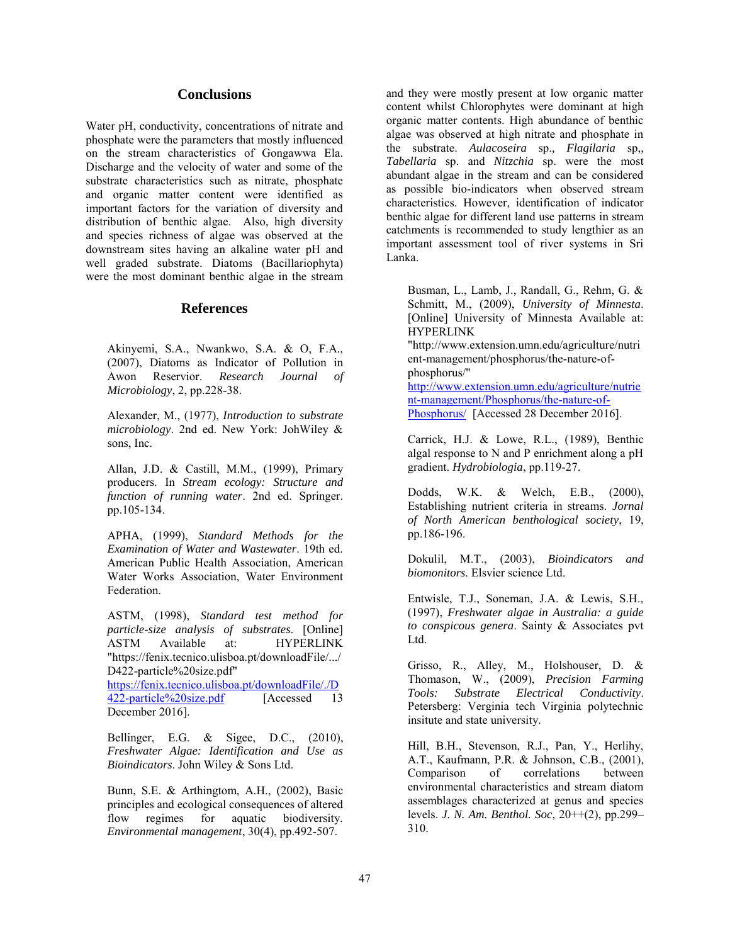# **Conclusions**

Water pH, conductivity, concentrations of nitrate and phosphate were the parameters that mostly influenced on the stream characteristics of Gongawwa Ela. Discharge and the velocity of water and some of the substrate characteristics such as nitrate, phosphate and organic matter content were identified as important factors for the variation of diversity and distribution of benthic algae. Also, high diversity and species richness of algae was observed at the downstream sites having an alkaline water pH and well graded substrate. Diatoms (Bacillariophyta) were the most dominant benthic algae in the stream

# **References**

Akinyemi, S.A., Nwankwo, S.A. & O, F.A., (2007), Diatoms as Indicator of Pollution in Awon Reservior. *Research Journal of Microbiology*, 2, pp.228-38.

Alexander, M., (1977), *Introduction to substrate microbiology*. 2nd ed. New York: JohWiley & sons, Inc.

Allan, J.D. & Castill, M.M., (1999), Primary producers. In *Stream ecology: Structure and function of running water*. 2nd ed. Springer. pp.105-134.

APHA, (1999), *Standard Methods for the Examination of Water and Wastewater*. 19th ed. American Public Health Association, American Water Works Association, Water Environment Federation.

ASTM, (1998), *Standard test method for particle-size analysis of substrates*. [Online] ASTM Available at: HYPERLINK "https://fenix.tecnico.ulisboa.pt/downloadFile/.../ D422-particle%20size.pdf" https://fenix.tecnico.ulisboa.pt/downloadFile/./D 422-particle%20size.pdf [Accessed 13 December 2016].

Bellinger, E.G. & Sigee, D.C., (2010), *Freshwater Algae: Identification and Use as Bioindicators*. John Wiley & Sons Ltd.

Bunn, S.E. & Arthingtom, A.H., (2002), Basic principles and ecological consequences of altered flow regimes for aquatic biodiversity. *Environmental management*, 30(4), pp.492-507.

and they were mostly present at low organic matter content whilst Chlorophytes were dominant at high organic matter contents. High abundance of benthic algae was observed at high nitrate and phosphate in the substrate. *Aulacoseira* sp.*, Flagilaria* sp,*, Tabellaria* sp. and *Nitzchia* sp. were the most abundant algae in the stream and can be considered as possible bio-indicators when observed stream characteristics. However, identification of indicator benthic algae for different land use patterns in stream catchments is recommended to study lengthier as an important assessment tool of river systems in Sri Lanka.

Busman, L., Lamb, J., Randall, G., Rehm, G. & Schmitt, M., (2009), *University of Minnesta*. [Online] University of Minnesta Available at: HYPERLINK

"http://www.extension.umn.edu/agriculture/nutri ent-management/phosphorus/the-nature-ofphosphorus/"

http://www.extension.umn.edu/agriculture/nutrie nt-management/Phosphorus/the-nature-of-Phosphorus/ [Accessed 28 December 2016].

Carrick, H.J. & Lowe, R.L., (1989), Benthic algal response to N and P enrichment along a pH gradient. *Hydrobiologia*, pp.119-27.

Dodds, W.K. & Welch, E.B., (2000), Establishing nutrient criteria in streams. *Jornal of North American benthological society*, 19, pp.186-196.

Dokulil, M.T., (2003), *Bioindicators and biomonitors*. Elsvier science Ltd.

Entwisle, T.J., Soneman, J.A. & Lewis, S.H., (1997), *Freshwater algae in Australia: a guide to conspicous genera*. Sainty & Associates pvt Ltd.

Grisso, R., Alley, M., Holshouser, D. & Thomason, W., (2009), *Precision Farming Tools: Substrate Electrical Conductivity*. Petersberg: Verginia tech Virginia polytechnic insitute and state university.

Hill, B.H., Stevenson, R.J., Pan, Y., Herlihy, A.T., Kaufmann, P.R. & Johnson, C.B., (2001),<br>Comparison of correlations between Comparison of correlations between environmental characteristics and stream diatom assemblages characterized at genus and species levels. *J. N. Am. Benthol. Soc*, 20++(2), pp.299– 310.